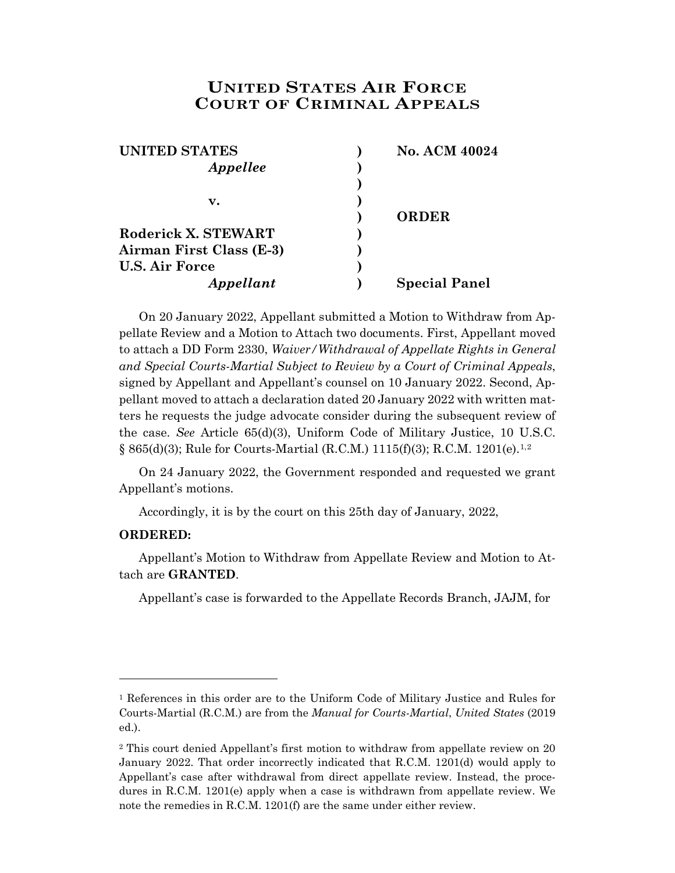## **UNITED STATES AIR FORCE COURT OF CRIMINAL APPEALS**

| <b>UNITED STATES</b>     | No. ACM 40024        |
|--------------------------|----------------------|
| Appellee                 |                      |
|                          |                      |
| v.                       |                      |
|                          | <b>ORDER</b>         |
| Roderick X. STEWART      |                      |
| Airman First Class (E-3) |                      |
| <b>U.S. Air Force</b>    |                      |
| Appellant                | <b>Special Panel</b> |

On 20 January 2022, Appellant submitted a Motion to Withdraw from Appellate Review and a Motion to Attach two documents. First, Appellant moved to attach a DD Form 2330, *Waiver/Withdrawal of Appellate Rights in General and Special Courts-Martial Subject to Review by a Court of Criminal Appeals*, signed by Appellant and Appellant's counsel on 10 January 2022. Second, Appellant moved to attach a declaration dated 20 January 2022 with written matters he requests the judge advocate consider during the subsequent review of the case. *See* Article 65(d)(3), Uniform Code of Military Justice, 10 U.S.C. § 865(d)(3); Rule for Courts-Martial (R.C.M.) 1115(f)(3); R.C.M. 1201(e).[1,](#page-0-0)[2](#page-0-1)

On 24 January 2022, the Government responded and requested we grant Appellant's motions.

Accordingly, it is by the court on this 25th day of January, 2022,

## **ORDERED:**

l

Appellant's Motion to Withdraw from Appellate Review and Motion to Attach are **GRANTED**.

Appellant's case is forwarded to the Appellate Records Branch, JAJM, for

<span id="page-0-0"></span><sup>1</sup> References in this order are to the Uniform Code of Military Justice and Rules for Courts-Martial (R.C.M.) are from the *Manual for Courts-Martial*, *United States* (2019 ed.).

<span id="page-0-1"></span><sup>2</sup> This court denied Appellant's first motion to withdraw from appellate review on 20 January 2022. That order incorrectly indicated that R.C.M. 1201(d) would apply to Appellant's case after withdrawal from direct appellate review. Instead, the procedures in R.C.M. 1201(e) apply when a case is withdrawn from appellate review. We note the remedies in R.C.M. 1201(f) are the same under either review.